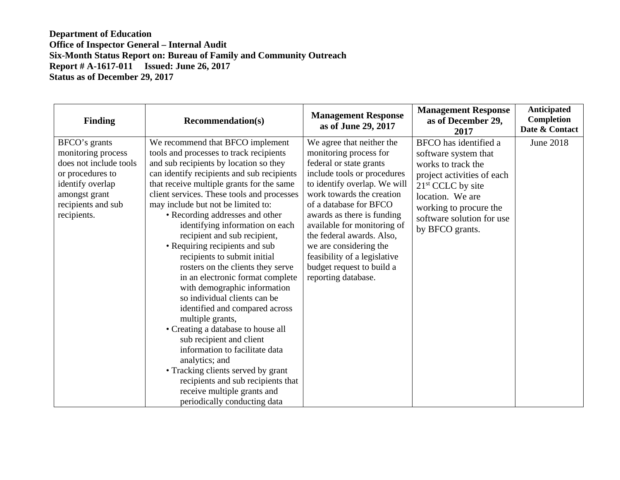| <b>Finding</b>                                                                                                                                              | <b>Recommendation(s)</b>                                                                                                                                                                                                                                                                                                                                                                                                                                                                                                                                                                                                                                                                                                                                                                                                                                                      | <b>Management Response</b><br>as of June 29, 2017                                                                                                                                                                                                                                                                                                                                                            | <b>Management Response</b><br>as of December 29,<br>2017                                                                                                                                                               | Anticipated<br><b>Completion</b><br>Date & Contact |
|-------------------------------------------------------------------------------------------------------------------------------------------------------------|-------------------------------------------------------------------------------------------------------------------------------------------------------------------------------------------------------------------------------------------------------------------------------------------------------------------------------------------------------------------------------------------------------------------------------------------------------------------------------------------------------------------------------------------------------------------------------------------------------------------------------------------------------------------------------------------------------------------------------------------------------------------------------------------------------------------------------------------------------------------------------|--------------------------------------------------------------------------------------------------------------------------------------------------------------------------------------------------------------------------------------------------------------------------------------------------------------------------------------------------------------------------------------------------------------|------------------------------------------------------------------------------------------------------------------------------------------------------------------------------------------------------------------------|----------------------------------------------------|
| BFCO's grants<br>monitoring process<br>does not include tools<br>or procedures to<br>identify overlap<br>amongst grant<br>recipients and sub<br>recipients. | We recommend that BFCO implement<br>tools and processes to track recipients<br>and sub recipients by location so they<br>can identify recipients and sub recipients<br>that receive multiple grants for the same<br>client services. These tools and processes<br>may include but not be limited to:<br>• Recording addresses and other<br>identifying information on each<br>recipient and sub recipient,<br>• Requiring recipients and sub<br>recipients to submit initial<br>rosters on the clients they serve<br>in an electronic format complete<br>with demographic information<br>so individual clients can be<br>identified and compared across<br>multiple grants,<br>• Creating a database to house all<br>sub recipient and client<br>information to facilitate data<br>analytics; and<br>• Tracking clients served by grant<br>recipients and sub recipients that | We agree that neither the<br>monitoring process for<br>federal or state grants<br>include tools or procedures<br>to identify overlap. We will<br>work towards the creation<br>of a database for BFCO<br>awards as there is funding<br>available for monitoring of<br>the federal awards. Also,<br>we are considering the<br>feasibility of a legislative<br>budget request to build a<br>reporting database. | BFCO has identified a<br>software system that<br>works to track the<br>project activities of each<br>$21st$ CCLC by site<br>location. We are<br>working to procure the<br>software solution for use<br>by BFCO grants. | June 2018                                          |
|                                                                                                                                                             | receive multiple grants and<br>periodically conducting data                                                                                                                                                                                                                                                                                                                                                                                                                                                                                                                                                                                                                                                                                                                                                                                                                   |                                                                                                                                                                                                                                                                                                                                                                                                              |                                                                                                                                                                                                                        |                                                    |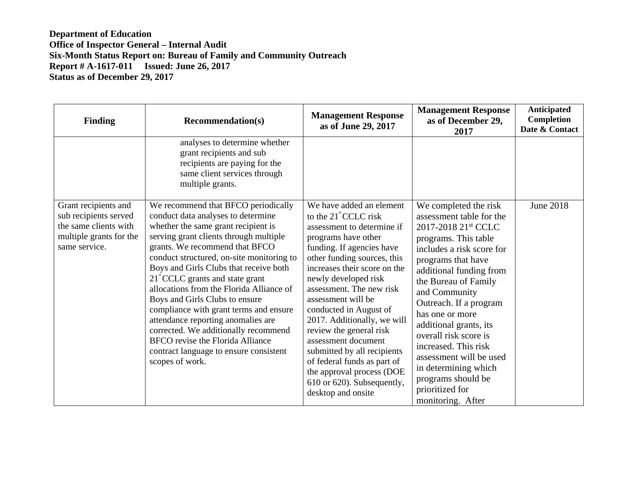| <b>Finding</b>                                                                                                     | <b>Recommendation(s)</b>                                                                                                                                                                                                                                                                                                                                                                                                                                                                                                                                                                                                               | <b>Management Response</b><br>as of June 29, 2017                                                                                                                                                                                                                                                                                                                                                                                                                                                                                              | <b>Management Response</b><br>as of December 29,<br>2017                                                                                                                                                                                                                                                                                                                                                                                                                     | <b>Anticipated</b><br><b>Completion</b><br>Date & Contact |
|--------------------------------------------------------------------------------------------------------------------|----------------------------------------------------------------------------------------------------------------------------------------------------------------------------------------------------------------------------------------------------------------------------------------------------------------------------------------------------------------------------------------------------------------------------------------------------------------------------------------------------------------------------------------------------------------------------------------------------------------------------------------|------------------------------------------------------------------------------------------------------------------------------------------------------------------------------------------------------------------------------------------------------------------------------------------------------------------------------------------------------------------------------------------------------------------------------------------------------------------------------------------------------------------------------------------------|------------------------------------------------------------------------------------------------------------------------------------------------------------------------------------------------------------------------------------------------------------------------------------------------------------------------------------------------------------------------------------------------------------------------------------------------------------------------------|-----------------------------------------------------------|
|                                                                                                                    | analyses to determine whether<br>grant recipients and sub<br>recipients are paying for the<br>same client services through<br>multiple grants.                                                                                                                                                                                                                                                                                                                                                                                                                                                                                         |                                                                                                                                                                                                                                                                                                                                                                                                                                                                                                                                                |                                                                                                                                                                                                                                                                                                                                                                                                                                                                              |                                                           |
| Grant recipients and<br>sub recipients served<br>the same clients with<br>multiple grants for the<br>same service. | We recommend that BFCO periodically<br>conduct data analyses to determine<br>whether the same grant recipient is<br>serving grant clients through multiple<br>grants. We recommend that BFCO<br>conduct structured, on-site monitoring to<br>Boys and Girls Clubs that receive both<br>$21^{\circ}$ CCLC grants and state grant<br>allocations from the Florida Alliance of<br>Boys and Girls Clubs to ensure<br>compliance with grant terms and ensure<br>attendance reporting anomalies are<br>corrected. We additionally recommend<br>BFCO revise the Florida Alliance<br>contract language to ensure consistent<br>scopes of work. | We have added an element<br>to the $21^{\circ}$ CCLC risk<br>assessment to determine if<br>programs have other<br>funding. If agencies have<br>other funding sources, this<br>increases their score on the<br>newly developed risk<br>assessment. The new risk<br>assessment will be<br>conducted in August of<br>2017. Additionally, we will<br>review the general risk<br>assessment document<br>submitted by all recipients<br>of federal funds as part of<br>the approval process (DOE<br>610 or 620). Subsequently,<br>desktop and onsite | We completed the risk<br>assessment table for the<br>2017-2018 21 <sup>st</sup> CCLC<br>programs. This table<br>includes a risk score for<br>programs that have<br>additional funding from<br>the Bureau of Family<br>and Community<br>Outreach. If a program<br>has one or more<br>additional grants, its<br>overall risk score is<br>increased. This risk<br>assessment will be used<br>in determining which<br>programs should be<br>prioritized for<br>monitoring. After | June 2018                                                 |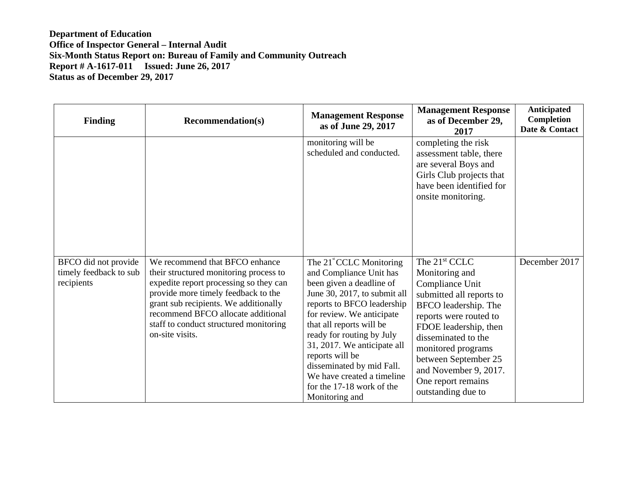| <b>Finding</b>                                               | <b>Recommendation(s)</b>                                                                                                                                                                                                                                                                              | <b>Management Response</b><br>as of June 29, 2017                                                                                                                                                                                                                                                                                                                                                           | <b>Management Response</b><br>as of December 29,<br>2017                                                                                                                                                                                                                                                        | Anticipated<br>Completion<br>Date & Contact |
|--------------------------------------------------------------|-------------------------------------------------------------------------------------------------------------------------------------------------------------------------------------------------------------------------------------------------------------------------------------------------------|-------------------------------------------------------------------------------------------------------------------------------------------------------------------------------------------------------------------------------------------------------------------------------------------------------------------------------------------------------------------------------------------------------------|-----------------------------------------------------------------------------------------------------------------------------------------------------------------------------------------------------------------------------------------------------------------------------------------------------------------|---------------------------------------------|
|                                                              |                                                                                                                                                                                                                                                                                                       | monitoring will be<br>scheduled and conducted.                                                                                                                                                                                                                                                                                                                                                              | completing the risk<br>assessment table, there<br>are several Boys and<br>Girls Club projects that<br>have been identified for<br>onsite monitoring.                                                                                                                                                            |                                             |
| BFCO did not provide<br>timely feedback to sub<br>recipients | We recommend that BFCO enhance<br>their structured monitoring process to<br>expedite report processing so they can<br>provide more timely feedback to the<br>grant sub recipients. We additionally<br>recommend BFCO allocate additional<br>staff to conduct structured monitoring<br>on-site visits. | The 21 <sup>st</sup> CCLC Monitoring<br>and Compliance Unit has<br>been given a deadline of<br>June 30, 2017, to submit all<br>reports to BFCO leadership<br>for review. We anticipate<br>that all reports will be<br>ready for routing by July<br>31, 2017. We anticipate all<br>reports will be<br>disseminated by mid Fall.<br>We have created a timeline<br>for the 17-18 work of the<br>Monitoring and | The 21 <sup>st</sup> CCLC<br>Monitoring and<br>Compliance Unit<br>submitted all reports to<br>BFCO leadership. The<br>reports were routed to<br>FDOE leadership, then<br>disseminated to the<br>monitored programs<br>between September 25<br>and November 9, 2017.<br>One report remains<br>outstanding due to | December 2017                               |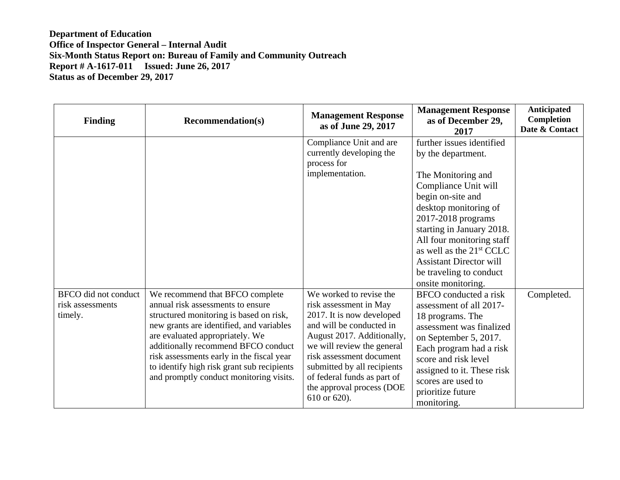| <b>Finding</b>                                      | <b>Recommendation(s)</b>                                                                                                                                                                                                                                                                                                                                                    | <b>Management Response</b><br>as of June 29, 2017                                                                                                                                                                                                                                                             | <b>Management Response</b><br>as of December 29,<br>2017                                                                                                                                                                                                                                                                                               | Anticipated<br><b>Completion</b><br>Date & Contact |
|-----------------------------------------------------|-----------------------------------------------------------------------------------------------------------------------------------------------------------------------------------------------------------------------------------------------------------------------------------------------------------------------------------------------------------------------------|---------------------------------------------------------------------------------------------------------------------------------------------------------------------------------------------------------------------------------------------------------------------------------------------------------------|--------------------------------------------------------------------------------------------------------------------------------------------------------------------------------------------------------------------------------------------------------------------------------------------------------------------------------------------------------|----------------------------------------------------|
|                                                     |                                                                                                                                                                                                                                                                                                                                                                             | Compliance Unit and are<br>currently developing the<br>process for<br>implementation.                                                                                                                                                                                                                         | further issues identified<br>by the department.<br>The Monitoring and<br>Compliance Unit will<br>begin on-site and<br>desktop monitoring of<br>2017-2018 programs<br>starting in January 2018.<br>All four monitoring staff<br>as well as the 21 <sup>st</sup> CCLC<br><b>Assistant Director will</b><br>be traveling to conduct<br>onsite monitoring. |                                                    |
| BFCO did not conduct<br>risk assessments<br>timely. | We recommend that BFCO complete<br>annual risk assessments to ensure<br>structured monitoring is based on risk,<br>new grants are identified, and variables<br>are evaluated appropriately. We<br>additionally recommend BFCO conduct<br>risk assessments early in the fiscal year<br>to identify high risk grant sub recipients<br>and promptly conduct monitoring visits. | We worked to revise the<br>risk assessment in May<br>2017. It is now developed<br>and will be conducted in<br>August 2017. Additionally,<br>we will review the general<br>risk assessment document<br>submitted by all recipients<br>of federal funds as part of<br>the approval process (DOE<br>610 or 620). | <b>BFCO</b> conducted a risk<br>assessment of all 2017-<br>18 programs. The<br>assessment was finalized<br>on September 5, 2017.<br>Each program had a risk<br>score and risk level<br>assigned to it. These risk<br>scores are used to<br>prioritize future<br>monitoring.                                                                            | Completed.                                         |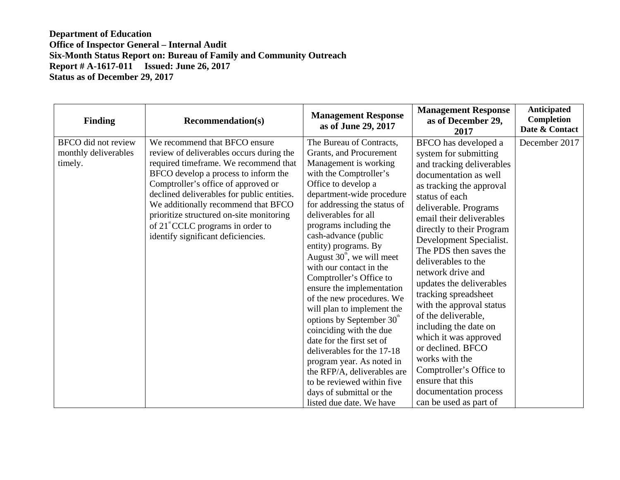| <b>Finding</b>                                                | <b>Recommendation(s)</b>                                                                                                                                                                                                                                                                                                                                                                                                 | <b>Management Response</b><br>as of June 29, 2017                                                                                                                                                                                                                                                                                                                                                                                                                                                                                                                                                                                                                                                                                                                 | <b>Management Response</b><br>as of December 29,<br>2017                                                                                                                                                                                                                                                                                                                                                                                                                                                                                                                                                                               | Anticipated<br><b>Completion</b><br>Date & Contact |
|---------------------------------------------------------------|--------------------------------------------------------------------------------------------------------------------------------------------------------------------------------------------------------------------------------------------------------------------------------------------------------------------------------------------------------------------------------------------------------------------------|-------------------------------------------------------------------------------------------------------------------------------------------------------------------------------------------------------------------------------------------------------------------------------------------------------------------------------------------------------------------------------------------------------------------------------------------------------------------------------------------------------------------------------------------------------------------------------------------------------------------------------------------------------------------------------------------------------------------------------------------------------------------|----------------------------------------------------------------------------------------------------------------------------------------------------------------------------------------------------------------------------------------------------------------------------------------------------------------------------------------------------------------------------------------------------------------------------------------------------------------------------------------------------------------------------------------------------------------------------------------------------------------------------------------|----------------------------------------------------|
| <b>BFCO</b> did not review<br>monthly deliverables<br>timely. | We recommend that BFCO ensure<br>review of deliverables occurs during the<br>required timeframe. We recommend that<br>BFCO develop a process to inform the<br>Comptroller's office of approved or<br>declined deliverables for public entities.<br>We additionally recommend that BFCO<br>prioritize structured on-site monitoring<br>of 21 <sup>"</sup> CCLC programs in order to<br>identify significant deficiencies. | The Bureau of Contracts,<br>Grants, and Procurement<br>Management is working<br>with the Comptroller's<br>Office to develop a<br>department-wide procedure<br>for addressing the status of<br>deliverables for all<br>programs including the<br>cash-advance (public<br>entity) programs. By<br>August $30^{\circ}$ , we will meet<br>with our contact in the<br>Comptroller's Office to<br>ensure the implementation<br>of the new procedures. We<br>will plan to implement the<br>options by September 30 <sup>th</sup><br>coinciding with the due<br>date for the first set of<br>deliverables for the 17-18<br>program year. As noted in<br>the RFP/A, deliverables are<br>to be reviewed within five<br>days of submittal or the<br>listed due date. We have | BFCO has developed a<br>system for submitting<br>and tracking deliverables<br>documentation as well<br>as tracking the approval<br>status of each<br>deliverable. Programs<br>email their deliverables<br>directly to their Program<br>Development Specialist.<br>The PDS then saves the<br>deliverables to the<br>network drive and<br>updates the deliverables<br>tracking spreadsheet<br>with the approval status<br>of the deliverable,<br>including the date on<br>which it was approved<br>or declined. BFCO<br>works with the<br>Comptroller's Office to<br>ensure that this<br>documentation process<br>can be used as part of | December 2017                                      |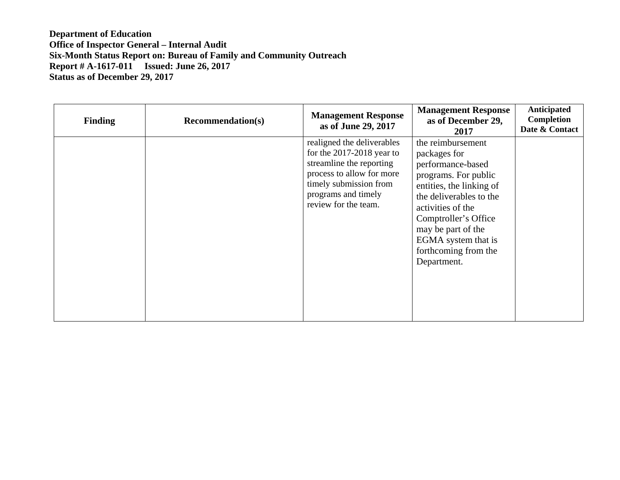| <b>Finding</b> | <b>Recommendation(s)</b> | <b>Management Response</b><br>as of June 29, 2017                                                                                                                                           | <b>Management Response</b><br>as of December 29,<br>2017                                                                                                                                                                                                               | Anticipated<br><b>Completion</b><br>Date & Contact |
|----------------|--------------------------|---------------------------------------------------------------------------------------------------------------------------------------------------------------------------------------------|------------------------------------------------------------------------------------------------------------------------------------------------------------------------------------------------------------------------------------------------------------------------|----------------------------------------------------|
|                |                          | realigned the deliverables<br>for the $2017-2018$ year to<br>streamline the reporting<br>process to allow for more<br>timely submission from<br>programs and timely<br>review for the team. | the reimbursement<br>packages for<br>performance-based<br>programs. For public<br>entities, the linking of<br>the deliverables to the<br>activities of the<br>Comptroller's Office<br>may be part of the<br>EGMA system that is<br>forthcoming from the<br>Department. |                                                    |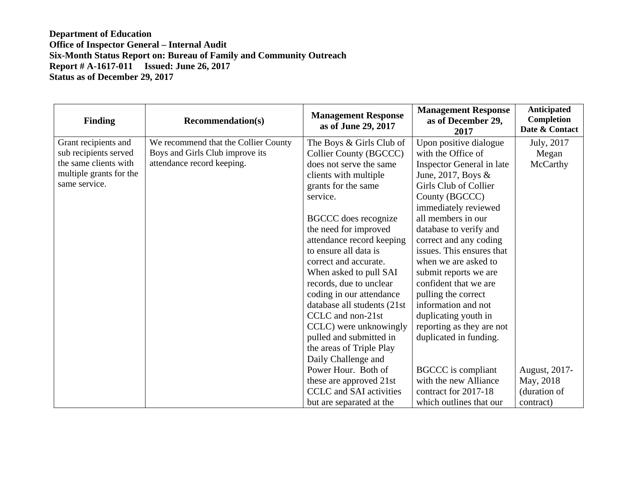| <b>Finding</b>          | <b>Recommendation(s)</b>             | <b>Management Response</b><br>as of June 29, 2017 | <b>Management Response</b><br>as of December 29,<br>2017 | <b>Anticipated</b><br><b>Completion</b><br>Date & Contact |
|-------------------------|--------------------------------------|---------------------------------------------------|----------------------------------------------------------|-----------------------------------------------------------|
| Grant recipients and    | We recommend that the Collier County | The Boys & Girls Club of                          | Upon positive dialogue                                   | July, 2017                                                |
| sub recipients served   | Boys and Girls Club improve its      | Collier County (BGCCC)                            | with the Office of                                       | Megan                                                     |
| the same clients with   | attendance record keeping.           | does not serve the same                           | Inspector General in late                                | McCarthy                                                  |
| multiple grants for the |                                      | clients with multiple                             | June, 2017, Boys $\&$                                    |                                                           |
| same service.           |                                      | grants for the same                               | Girls Club of Collier                                    |                                                           |
|                         |                                      | service.                                          | County (BGCCC)                                           |                                                           |
|                         |                                      |                                                   | immediately reviewed                                     |                                                           |
|                         |                                      | <b>BGCCC</b> does recognize                       | all members in our                                       |                                                           |
|                         |                                      | the need for improved                             | database to verify and                                   |                                                           |
|                         |                                      | attendance record keeping                         | correct and any coding                                   |                                                           |
|                         |                                      | to ensure all data is                             | issues. This ensures that                                |                                                           |
|                         |                                      | correct and accurate.                             | when we are asked to                                     |                                                           |
|                         |                                      | When asked to pull SAI                            | submit reports we are                                    |                                                           |
|                         |                                      | records, due to unclear                           | confident that we are                                    |                                                           |
|                         |                                      | coding in our attendance                          | pulling the correct                                      |                                                           |
|                         |                                      | database all students (21st                       | information and not                                      |                                                           |
|                         |                                      | CCLC and non-21st                                 | duplicating youth in                                     |                                                           |
|                         |                                      | CCLC) were unknowingly                            | reporting as they are not                                |                                                           |
|                         |                                      | pulled and submitted in                           | duplicated in funding.                                   |                                                           |
|                         |                                      | the areas of Triple Play                          |                                                          |                                                           |
|                         |                                      | Daily Challenge and                               |                                                          |                                                           |
|                         |                                      | Power Hour. Both of                               | <b>BGCCC</b> is compliant                                | August, 2017-                                             |
|                         |                                      | these are approved 21st                           | with the new Alliance                                    | May, 2018                                                 |
|                         |                                      | <b>CCLC</b> and SAI activities                    | contract for 2017-18                                     | (duration of                                              |
|                         |                                      | but are separated at the                          | which outlines that our                                  | contract)                                                 |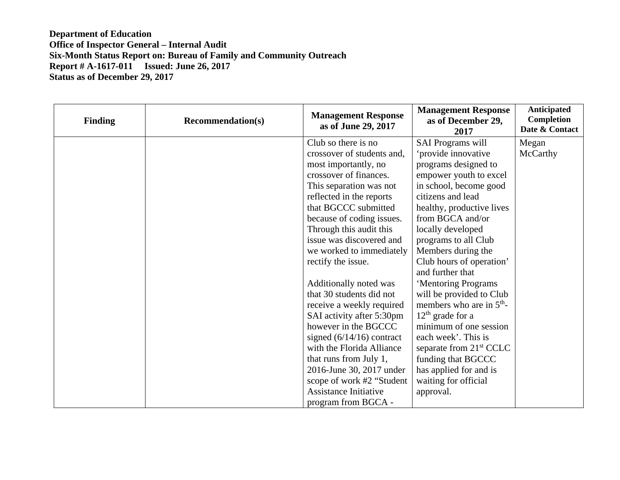| <b>Finding</b> | <b>Recommendation(s)</b> | <b>Management Response</b><br>as of June 29, 2017 | <b>Management Response</b><br>as of December 29,<br>2017 | <b>Anticipated</b><br>Completion<br>Date & Contact |
|----------------|--------------------------|---------------------------------------------------|----------------------------------------------------------|----------------------------------------------------|
|                |                          | Club so there is no                               | <b>SAI Programs will</b>                                 | Megan                                              |
|                |                          | crossover of students and,                        | 'provide innovative                                      | McCarthy                                           |
|                |                          | most importantly, no                              | programs designed to                                     |                                                    |
|                |                          | crossover of finances.                            | empower youth to excel                                   |                                                    |
|                |                          | This separation was not                           | in school, become good                                   |                                                    |
|                |                          | reflected in the reports                          | citizens and lead                                        |                                                    |
|                |                          | that BGCCC submitted                              | healthy, productive lives                                |                                                    |
|                |                          | because of coding issues.                         | from BGCA and/or                                         |                                                    |
|                |                          | Through this audit this                           | locally developed                                        |                                                    |
|                |                          | issue was discovered and                          | programs to all Club                                     |                                                    |
|                |                          | we worked to immediately                          | Members during the                                       |                                                    |
|                |                          | rectify the issue.                                | Club hours of operation'                                 |                                                    |
|                |                          |                                                   | and further that                                         |                                                    |
|                |                          | Additionally noted was                            | 'Mentoring Programs                                      |                                                    |
|                |                          | that 30 students did not                          | will be provided to Club                                 |                                                    |
|                |                          | receive a weekly required                         | members who are in $5th$ -                               |                                                    |
|                |                          | SAI activity after 5:30pm                         | $12th$ grade for a                                       |                                                    |
|                |                          | however in the BGCCC                              | minimum of one session                                   |                                                    |
|                |                          | signed $(6/14/16)$ contract                       | each week'. This is                                      |                                                    |
|                |                          | with the Florida Alliance                         | separate from 21 <sup>st</sup> CCLC                      |                                                    |
|                |                          | that runs from July 1,                            | funding that BGCCC                                       |                                                    |
|                |                          | 2016-June 30, 2017 under                          | has applied for and is                                   |                                                    |
|                |                          | scope of work #2 "Student"                        | waiting for official                                     |                                                    |
|                |                          | <b>Assistance Initiative</b>                      | approval.                                                |                                                    |
|                |                          | program from BGCA -                               |                                                          |                                                    |